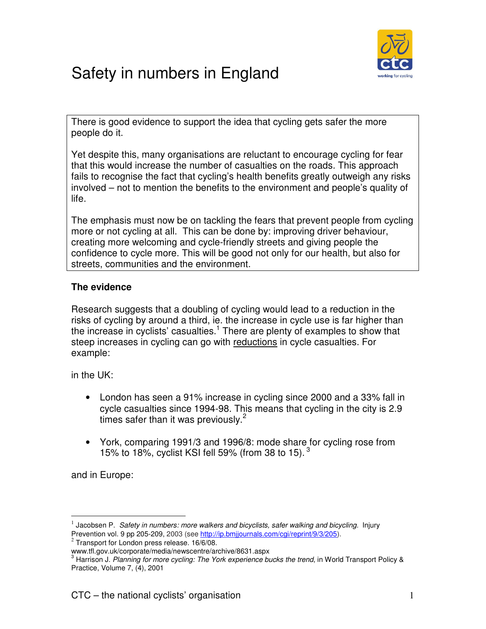

# Safety in numbers in England

There is good evidence to support the idea that cycling gets safer the more people do it.

Yet despite this, many organisations are reluctant to encourage cycling for fear that this would increase the number of casualties on the roads. This approach fails to recognise the fact that cycling's health benefits greatly outweigh any risks involved – not to mention the benefits to the environment and people's quality of life.

The emphasis must now be on tackling the fears that prevent people from cycling more or not cycling at all. This can be done by: improving driver behaviour, creating more welcoming and cycle-friendly streets and giving people the confidence to cycle more. This will be good not only for our health, but also for streets, communities and the environment.

## **The evidence**

Research suggests that a doubling of cycling would lead to a reduction in the risks of cycling by around a third, ie. the increase in cycle use is far higher than the increase in cyclists' casualties.<sup>1</sup> There are plenty of examples to show that steep increases in cycling can go with reductions in cycle casualties. For example:

in the UK:

- London has seen a 91% increase in cycling since 2000 and a 33% fall in cycle casualties since 1994-98. This means that cycling in the city is 2.9 times safer than it was previously. $2^2$
- York, comparing 1991/3 and 1996/8: mode share for cycling rose from 15% to 18%, cyclist KSI fell 59% (from 38 to 15).  $3\overline{)}$

and in Europe:

 $\overline{a}$ 

 $<sup>1</sup>$  Jacobsen P. Safety in numbers: more walkers and bicyclists, safer walking and bicycling. Injury</sup> Prevention vol. 9 pp 205-209, 2003 (see <u>http://ip.bmijournals.com/cgi/reprint/9/3/205</u>).<br><sup>2</sup> Transport for London press release. 16/6/08.

www.tfl.gov.uk/corporate/media/newscentre/archive/8631.aspx<br><sup>3</sup> Herriesp J. *Plenning for more quoling: The York experience b* 

Harrison J. Planning for more cycling: The York experience bucks the trend, in World Transport Policy & Practice, Volume 7, (4), 2001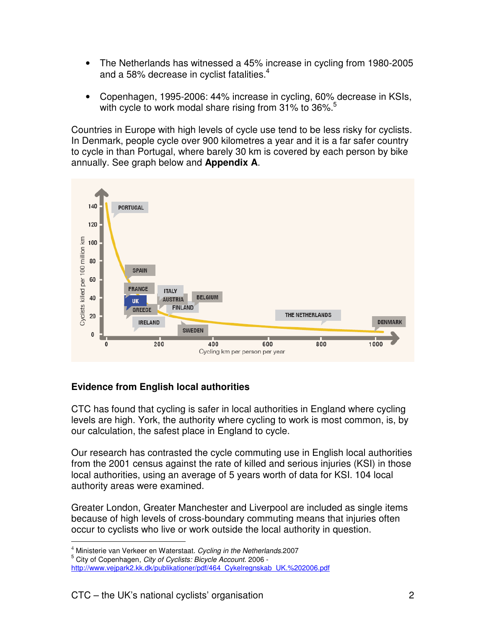- The Netherlands has witnessed a 45% increase in cycling from 1980-2005 and a 58% decrease in cyclist fatalities.<sup>4</sup>
- Copenhagen, 1995-2006: 44% increase in cycling, 60% decrease in KSIs, with cycle to work modal share rising from  $31\%$  to  $36\%$ <sup>5</sup>

Countries in Europe with high levels of cycle use tend to be less risky for cyclists. In Denmark, people cycle over 900 kilometres a year and it is a far safer country to cycle in than Portugal, where barely 30 km is covered by each person by bike annually. See graph below and **Appendix A**.



## **Evidence from English local authorities**

CTC has found that cycling is safer in local authorities in England where cycling levels are high. York, the authority where cycling to work is most common, is, by our calculation, the safest place in England to cycle.

Our research has contrasted the cycle commuting use in English local authorities from the 2001 census against the rate of killed and serious injuries (KSI) in those local authorities, using an average of 5 years worth of data for KSI. 104 local authority areas were examined.

Greater London, Greater Manchester and Liverpool are included as single items because of high levels of cross-boundary commuting means that injuries often occur to cyclists who live or work outside the local authority in question.  $\overline{a}$ 

<sup>&</sup>lt;sup>4</sup> Ministerie van Verkeer en Waterstaat. Cycling in the Netherlands.2007

<sup>5</sup> City of Copenhagen, City of Cyclists: Bicycle Account. 2006 -

http://www.vejpark2.kk.dk/publikationer/pdf/464\_Cykelregnskab\_UK.%202006.pdf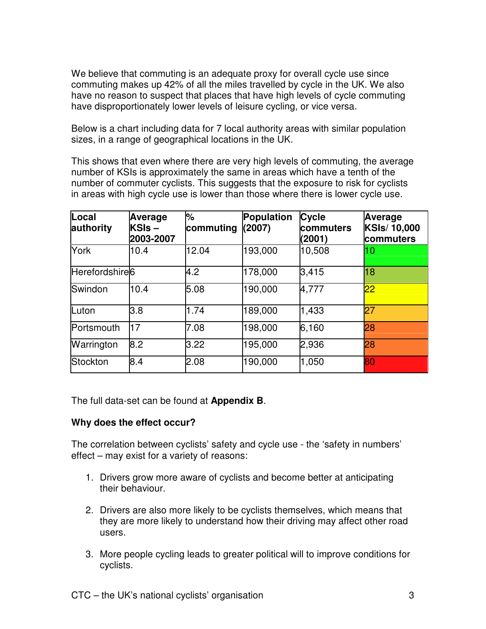We believe that commuting is an adequate proxy for overall cycle use since commuting makes up 42% of all the miles travelled by cycle in the UK. We also have no reason to suspect that places that have high levels of cycle commuting have disproportionately lower levels of leisure cycling, or vice versa.

Below is a chart including data for 7 local authority areas with similar population sizes, in a range of geographical locations in the UK.

This shows that even where there are very high levels of commuting, the average number of KSIs is approximately the same in areas which have a tenth of the number of commuter cyclists. This suggests that the exposure to risk for cyclists in areas with high cycle use is lower than those where there is lower cycle use.

| Local<br>authority         | Average<br>KSIs-<br>2003-2007 | %<br>commuting | Population<br>(2007) | <b>Cycle</b><br>commuters<br>(2001) | Average<br><b>KSIs/10,000</b><br>commuters |
|----------------------------|-------------------------------|----------------|----------------------|-------------------------------------|--------------------------------------------|
| York                       | 10.4                          | 12.04          | 193,000              | 10,508                              | 10                                         |
| Herefordshire <sup>6</sup> |                               | 4.2            | 178,000              | 3,415                               | 18                                         |
| Swindon                    | 10.4                          | 5.08           | 190,000              | 4,777                               | 22                                         |
| Luton                      | 3.8                           | 1.74           | 189,000              | 1,433                               | 27                                         |
| Portsmouth                 | 17                            | 7.08           | 198,000              | 6,160                               | 28                                         |
| Warrington                 | 8.2                           | 3.22           | 195,000              | 2,936                               | 28                                         |
| Stockton                   | 8.4                           | 2.08           | 190,000              | 1,050                               | 80                                         |

The full data-set can be found at **Appendix B**.

## **Why does the effect occur?**

The correlation between cyclists' safety and cycle use - the 'safety in numbers' effect – may exist for a variety of reasons:

- 1. Drivers grow more aware of cyclists and become better at anticipating their behaviour.
- 2. Drivers are also more likely to be cyclists themselves, which means that they are more likely to understand how their driving may affect other road users.
- 3. More people cycling leads to greater political will to improve conditions for cyclists.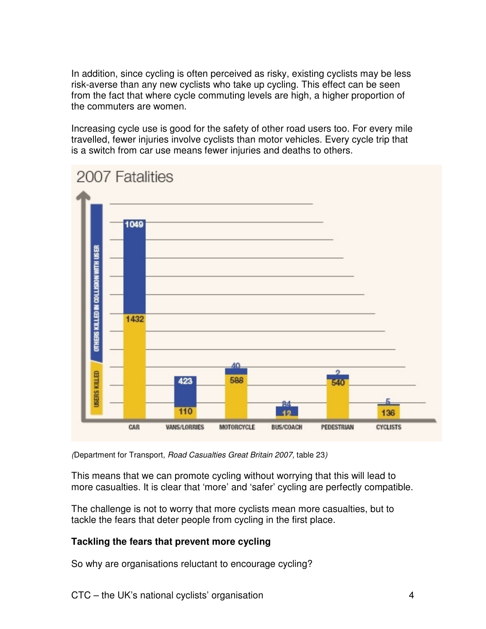In addition, since cycling is often perceived as risky, existing cyclists may be less risk-averse than any new cyclists who take up cycling. This effect can be seen from the fact that where cycle commuting levels are high, a higher proportion of the commuters are women.

Increasing cycle use is good for the safety of other road users too. For every mile travelled, fewer injuries involve cyclists than motor vehicles. Every cycle trip that is a switch from car use means fewer injuries and deaths to others.



#### (Department for Transport, Road Casualties Great Britain 2007, table 23)

This means that we can promote cycling without worrying that this will lead to more casualties. It is clear that 'more' and 'safer' cycling are perfectly compatible.

The challenge is not to worry that more cyclists mean more casualties, but to tackle the fears that deter people from cycling in the first place.

## **Tackling the fears that prevent more cycling**

So why are organisations reluctant to encourage cycling?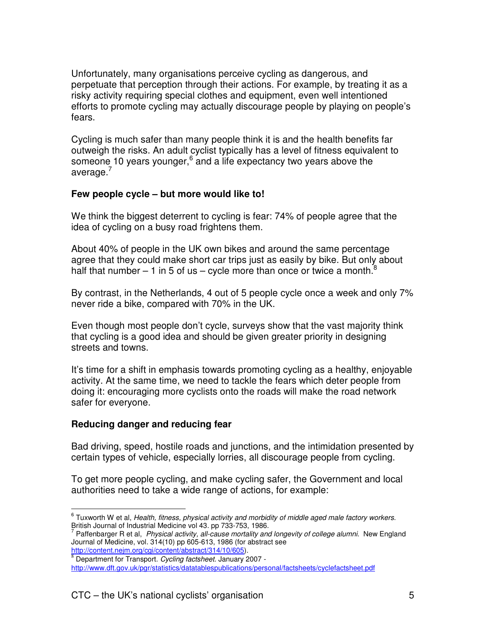Unfortunately, many organisations perceive cycling as dangerous, and perpetuate that perception through their actions. For example, by treating it as a risky activity requiring special clothes and equipment, even well intentioned efforts to promote cycling may actually discourage people by playing on people's fears.

Cycling is much safer than many people think it is and the health benefits far outweigh the risks. An adult cyclist typically has a level of fitness equivalent to someone 10 years younger, $6$  and a life expectancy two years above the average.<sup>7</sup>

#### **Few people cycle – but more would like to!**

We think the biggest deterrent to cycling is fear: 74% of people agree that the idea of cycling on a busy road frightens them.

About 40% of people in the UK own bikes and around the same percentage agree that they could make short car trips just as easily by bike. But only about half that number – 1 in 5 of us – cycle more than once or twice a month.<sup>8</sup>

By contrast, in the Netherlands, 4 out of 5 people cycle once a week and only 7% never ride a bike, compared with 70% in the UK.

Even though most people don't cycle, surveys show that the vast majority think that cycling is a good idea and should be given greater priority in designing streets and towns.

It's time for a shift in emphasis towards promoting cycling as a healthy, enjoyable activity. At the same time, we need to tackle the fears which deter people from doing it: encouraging more cyclists onto the roads will make the road network safer for everyone.

#### **Reducing danger and reducing fear**

l.

Bad driving, speed, hostile roads and junctions, and the intimidation presented by certain types of vehicle, especially lorries, all discourage people from cycling.

To get more people cycling, and make cycling safer, the Government and local authorities need to take a wide range of actions, for example:

http://content.nejm.org/cgi/content/abstract/314/10/605).

 $^6$  Tuxworth W et al, Health, fitness, physical activity and morbidity of middle aged male factory workers. British Journal of Industrial Medicine vol 43. pp 733-753, 1986.<br><sup>7</sup> Betterbarger B et al., *Physical activity all aques mertality and* 

Paffenbarger R et al, Physical activity, all-cause mortality and longevity of college alumni. New England Journal of Medicine, vol. 314(10) pp 605-613, 1986 (for abstract see

 $8$  Department for Transport. Cycling factsheet. January 2007 -

http://www.dft.gov.uk/pgr/statistics/datatablespublications/personal/factsheets/cyclefactsheet.pdf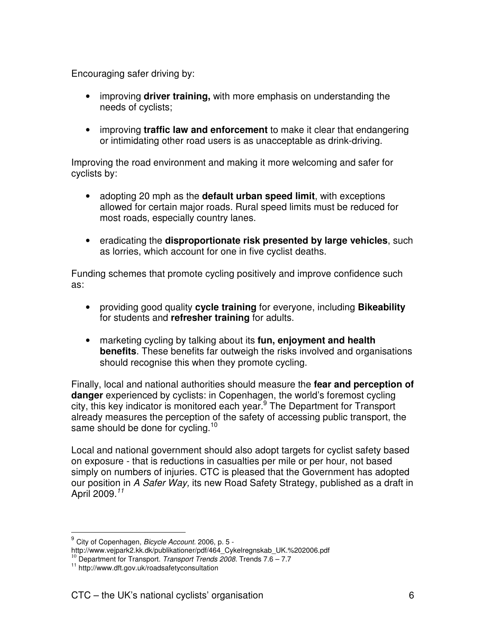Encouraging safer driving by:

- improving **driver training,** with more emphasis on understanding the needs of cyclists;
- improving **traffic law and enforcement** to make it clear that endangering or intimidating other road users is as unacceptable as drink-driving.

Improving the road environment and making it more welcoming and safer for cyclists by:

- adopting 20 mph as the **default urban speed limit**, with exceptions allowed for certain major roads. Rural speed limits must be reduced for most roads, especially country lanes.
- eradicating the **disproportionate risk presented by large vehicles**, such as lorries, which account for one in five cyclist deaths.

Funding schemes that promote cycling positively and improve confidence such as:

- providing good quality **cycle training** for everyone, including **Bikeability**  for students and **refresher training** for adults.
- marketing cycling by talking about its **fun, enjoyment and health benefits**. These benefits far outweigh the risks involved and organisations should recognise this when they promote cycling.

Finally, local and national authorities should measure the **fear and perception of danger** experienced by cyclists: in Copenhagen, the world's foremost cycling city, this key indicator is monitored each year.<sup>9</sup> The Department for Transport already measures the perception of the safety of accessing public transport, the same should be done for cycling.<sup>10</sup>

Local and national government should also adopt targets for cyclist safety based on exposure - that is reductions in casualties per mile or per hour, not based simply on numbers of injuries. CTC is pleased that the Government has adopted our position in A Safer Way, its new Road Safety Strategy, published as a draft in April 2009.<sup>11</sup>

l.

<sup>&</sup>lt;sup>9</sup> City of Copenhagen, *Bicycle Account.* 2006, p. 5 -

http://www.vejpark2.kk.dk/publikationer/pdf/464\_Cykelregnskab\_UK.%202006.pdf

<sup>&</sup>lt;sup>10</sup> Department for Transport. Transport Trends 2008. Trends 7.6 – 7.7

<sup>11</sup> http://www.dft.gov.uk/roadsafetyconsultation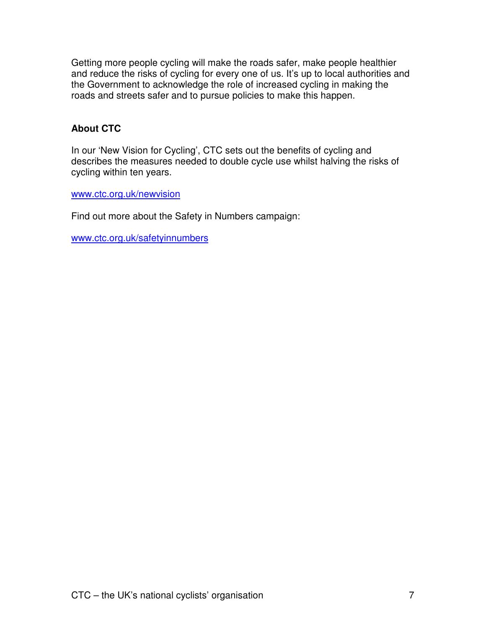Getting more people cycling will make the roads safer, make people healthier and reduce the risks of cycling for every one of us. It's up to local authorities and the Government to acknowledge the role of increased cycling in making the roads and streets safer and to pursue policies to make this happen.

## **About CTC**

In our 'New Vision for Cycling', CTC sets out the benefits of cycling and describes the measures needed to double cycle use whilst halving the risks of cycling within ten years.

www.ctc.org.uk/newvision

Find out more about the Safety in Numbers campaign:

www.ctc.org.uk/safetyinnumbers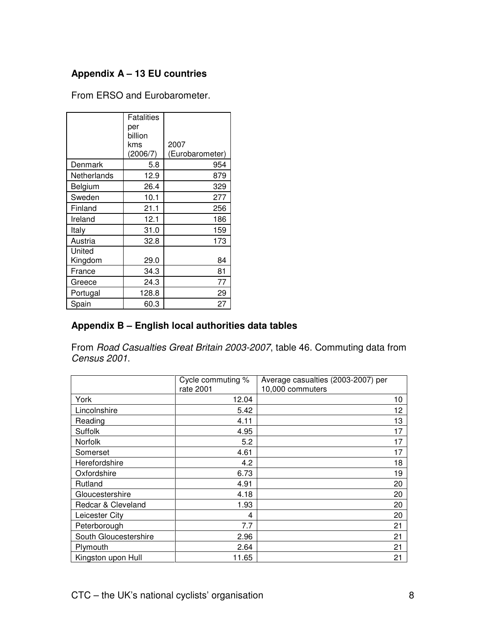## **Appendix A – 13 EU countries**

|                   | Fatalities<br>per<br>billion<br>kms<br>(2006/7) | 2007<br>(Eurobarometer) |
|-------------------|-------------------------------------------------|-------------------------|
| Denmark           | 5.8                                             | 954                     |
| Netherlands       | 12.9                                            | 879                     |
| Belgium           | 26.4                                            | 329                     |
| Sweden            | 10.1                                            | 277                     |
| Finland           | 21.1                                            | 256                     |
| Ireland           | 12.1                                            | 186                     |
| Italy             | 31.0                                            | 159                     |
| Austria           | 32.8                                            | 173                     |
| United<br>Kingdom | 29.0                                            | 84                      |
| France            | 34.3                                            | 81                      |
| Greece            | 24.3                                            | 77                      |
| Portugal          | 128.8                                           | 29                      |
| Spain             | 60.3                                            | 27                      |

From ERSO and Eurobarometer.

## **Appendix B – English local authorities data tables**

From Road Casualties Great Britain 2003-2007, table 46. Commuting data from Census 2001.

|                       | Cycle commuting % | Average casualties (2003-2007) per |
|-----------------------|-------------------|------------------------------------|
|                       | rate 2001         | 10,000 commuters                   |
| York                  | 12.04             | 10                                 |
| Lincolnshire          | 5.42              | 12                                 |
| Reading               | 4.11              | 13                                 |
| Suffolk               | 4.95              | 17                                 |
| Norfolk               | 5.2               | 17                                 |
| Somerset              | 4.61              | 17                                 |
| Herefordshire         | 4.2               | 18                                 |
| Oxfordshire           | 6.73              | 19                                 |
| Rutland               | 4.91              | 20                                 |
| Gloucestershire       | 4.18              | 20                                 |
| Redcar & Cleveland    | 1.93              | 20                                 |
| Leicester City        | 4                 | 20                                 |
| Peterborough          | 7.7               | 21                                 |
| South Gloucestershire | 2.96              | 21                                 |
| Plymouth              | 2.64              | 21                                 |
| Kingston upon Hull    | 11.65             | 21                                 |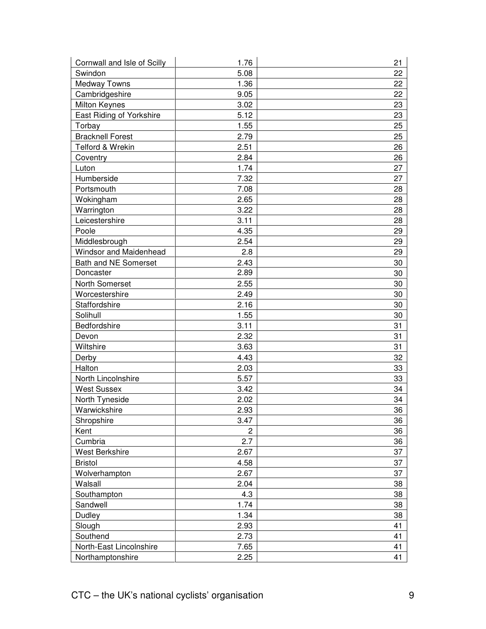| Cornwall and Isle of Scilly | 1.76           | 21 |
|-----------------------------|----------------|----|
| Swindon                     | 5.08           | 22 |
| <b>Medway Towns</b>         | 1.36           | 22 |
| Cambridgeshire              | 9.05           | 22 |
| <b>Milton Keynes</b>        | 3.02           | 23 |
| East Riding of Yorkshire    | 5.12           | 23 |
| Torbay                      | 1.55           | 25 |
| <b>Bracknell Forest</b>     | 2.79           | 25 |
| Telford & Wrekin            | 2.51           | 26 |
| Coventry                    | 2.84           | 26 |
| Luton                       | 1.74           | 27 |
| Humberside                  | 7.32           | 27 |
| Portsmouth                  | 7.08           | 28 |
| Wokingham                   | 2.65           | 28 |
| Warrington                  | 3.22           | 28 |
| Leicestershire              | 3.11           | 28 |
| Poole                       | 4.35           | 29 |
| Middlesbrough               | 2.54           | 29 |
| Windsor and Maidenhead      | 2.8            | 29 |
| Bath and NE Somerset        | 2.43           | 30 |
| Doncaster                   | 2.89           | 30 |
| North Somerset              | 2.55           | 30 |
| Worcestershire              | 2.49           | 30 |
| Staffordshire               | 2.16           | 30 |
| Solihull                    | 1.55           | 30 |
| Bedfordshire                | 3.11           | 31 |
| Devon                       | 2.32           | 31 |
| Wiltshire                   | 3.63           | 31 |
| Derby                       | 4.43           | 32 |
| Halton                      | 2.03           | 33 |
| North Lincolnshire          | 5.57           | 33 |
| <b>West Sussex</b>          | 3.42           | 34 |
| North Tyneside              | 2.02           | 34 |
| Warwickshire                | 2.93           | 36 |
| Shropshire                  | 3.47           | 36 |
| Kent                        | $\overline{c}$ | 36 |
| Cumbria                     | 2.7            | 36 |
| West Berkshire              | 2.67           | 37 |
| <b>Bristol</b>              | 4.58           | 37 |
| Wolverhampton               | 2.67           | 37 |
| Walsall                     | 2.04           | 38 |
| Southampton                 | 4.3            | 38 |
| Sandwell                    | 1.74           | 38 |
| Dudley                      | 1.34           | 38 |
| Slough                      | 2.93           | 41 |
| Southend                    | 2.73           | 41 |
| North-East Lincolnshire     | 7.65           | 41 |
| Northamptonshire            | 2.25           | 41 |